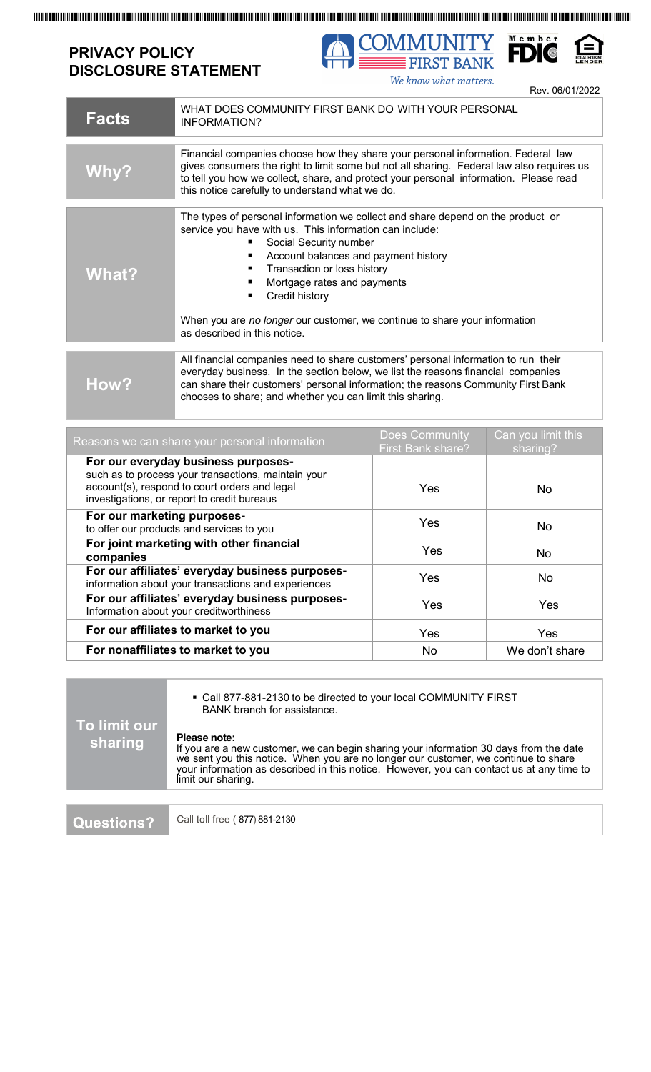## **PRIVACY POLICY DISCLOSURE STATEMENT**



We know what matters.

Rev. 06/01/2022

| <b>Facts</b>                                                                                                                                                                               | WHAT DOES COMMUNITY FIRST BANK DO WITH YOUR PERSONAL<br><b>INFORMATION?</b>                                                                                                                                                                                                                                                                                                                                                    |                                            |                                |
|--------------------------------------------------------------------------------------------------------------------------------------------------------------------------------------------|--------------------------------------------------------------------------------------------------------------------------------------------------------------------------------------------------------------------------------------------------------------------------------------------------------------------------------------------------------------------------------------------------------------------------------|--------------------------------------------|--------------------------------|
| <b>Why?</b>                                                                                                                                                                                | Financial companies choose how they share your personal information. Federal law<br>gives consumers the right to limit some but not all sharing. Federal law also requires us<br>to tell you how we collect, share, and protect your personal information. Please read<br>this notice carefully to understand what we do.                                                                                                      |                                            |                                |
| <b>What?</b>                                                                                                                                                                               | The types of personal information we collect and share depend on the product or<br>service you have with us. This information can include:<br>Social Security number<br>Account balances and payment history<br>٠<br>Transaction or loss history<br>٠<br>Mortgage rates and payments<br>٠<br>Credit history<br>٠<br>When you are no longer our customer, we continue to share your information<br>as described in this notice. |                                            |                                |
| How?                                                                                                                                                                                       | All financial companies need to share customers' personal information to run their<br>everyday business. In the section below, we list the reasons financial companies<br>can share their customers' personal information; the reasons Community First Bank<br>chooses to share; and whether you can limit this sharing.                                                                                                       |                                            |                                |
| Reasons we can share your personal information                                                                                                                                             |                                                                                                                                                                                                                                                                                                                                                                                                                                | Does Community<br><b>First Bank share?</b> | Can you limit this<br>sharing? |
| For our everyday business purposes-<br>such as to process your transactions, maintain your<br>account(s), respond to court orders and legal<br>investigations, or report to credit bureaus |                                                                                                                                                                                                                                                                                                                                                                                                                                | Yes                                        | <b>No</b>                      |
| For our marketing purposes-<br>to offer our products and services to you                                                                                                                   |                                                                                                                                                                                                                                                                                                                                                                                                                                | Yes                                        | No                             |
| For joint marketing with other financial<br>companies                                                                                                                                      |                                                                                                                                                                                                                                                                                                                                                                                                                                | Yes                                        | No                             |
| For our affiliates' everyday business purposes-<br>information about your transactions and experiences                                                                                     |                                                                                                                                                                                                                                                                                                                                                                                                                                | Yes                                        | No                             |
| For our affiliates' everyday business purposes-<br>Information about your creditworthiness                                                                                                 |                                                                                                                                                                                                                                                                                                                                                                                                                                | Yes                                        | Yes                            |
| For our affiliates to market to you                                                                                                                                                        |                                                                                                                                                                                                                                                                                                                                                                                                                                | Yes                                        | Yes                            |
| For nonaffiliates to market to you                                                                                                                                                         |                                                                                                                                                                                                                                                                                                                                                                                                                                | No                                         | We don't share                 |

| To limit our<br>sharing | • Call 877-881-2130 to be directed to your local COMMUNITY FIRST<br>BANK branch for assistance.                                                                                                                                                                                                                |  |  |
|-------------------------|----------------------------------------------------------------------------------------------------------------------------------------------------------------------------------------------------------------------------------------------------------------------------------------------------------------|--|--|
|                         | Please note:<br>If you are a new customer, we can begin sharing your information 30 days from the date<br>we sent you this notice. When you are no longer our customer, we continue to share<br>your information as described in this notice. However, you can contact us at any time to<br>limit our sharing. |  |  |
|                         |                                                                                                                                                                                                                                                                                                                |  |  |
| Questions?              | Call toll free (877) 881-2130                                                                                                                                                                                                                                                                                  |  |  |